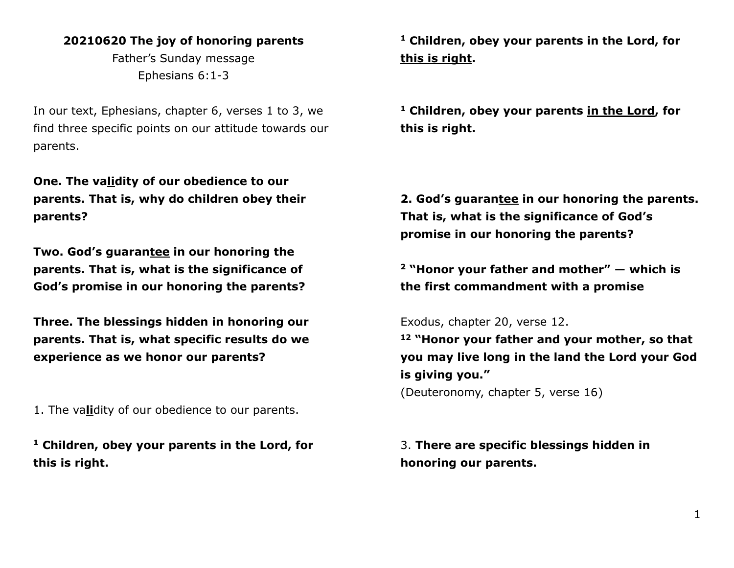## **20210620 The joy of honoring parents**

Father's Sunday message Ephesians 6:1-3

In our text, Ephesians, chapter 6, verses 1 to 3, we find three specific points on our attitude towards our parents.

**One. The validity of our obedience to our parents. That is, why do children obey their parents?**

**Two. God's guarantee in our honoring the parents. That is, what is the significance of God's promise in our honoring the parents?**

**Three. The blessings hidden in honoring our parents. That is, what specific results do we experience as we honor our parents?**

1. The va**li**dity of our obedience to our parents.

**<sup>1</sup> Children, obey your parents in the Lord, for this is right.**

**<sup>1</sup> Children, obey your parents in the Lord, for this is right.**

**<sup>1</sup> Children, obey your parents in the Lord, for this is right.**

**2. God's guarantee in our honoring the parents. That is, what is the significance of God's promise in our honoring the parents?**

**<sup>2</sup> "Honor your father and mother" — which is the first commandment with a promise**

Exodus, chapter 20, verse 12.

**<sup>12</sup> "Honor your father and your mother, so that you may live long in the land the Lord your God is giving you."** (Deuteronomy, chapter 5, verse 16)

3. **There are specific blessings hidden in honoring our parents.**